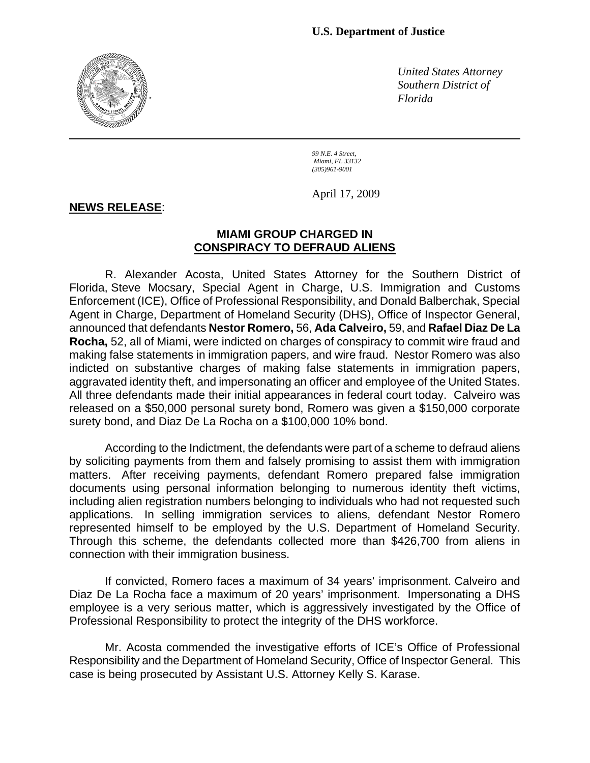

*United States Attorney Southern District of Florida*

*99 N.E. 4 Street, Miami, FL 33132 (305)961-9001*

April 17, 2009

## **NEWS RELEASE**:

## **MIAMI GROUP CHARGED IN CONSPIRACY TO DEFRAUD ALIENS**

 R. Alexander Acosta, United States Attorney for the Southern District of Florida, Steve Mocsary, Special Agent in Charge, U.S. Immigration and Customs Enforcement (ICE), Office of Professional Responsibility, and Donald Balberchak, Special Agent in Charge, Department of Homeland Security (DHS), Office of Inspector General, announced that defendants **Nestor Romero,** 56, **Ada Calveiro,** 59, and **Rafael Diaz De La Rocha,** 52, all of Miami, were indicted on charges of conspiracy to commit wire fraud and making false statements in immigration papers, and wire fraud. Nestor Romero was also indicted on substantive charges of making false statements in immigration papers, aggravated identity theft, and impersonating an officer and employee of the United States. All three defendants made their initial appearances in federal court today. Calveiro was released on a \$50,000 personal surety bond, Romero was given a \$150,000 corporate surety bond, and Diaz De La Rocha on a \$100,000 10% bond.

 According to the Indictment, the defendants were part of a scheme to defraud aliens by soliciting payments from them and falsely promising to assist them with immigration matters. After receiving payments, defendant Romero prepared false immigration documents using personal information belonging to numerous identity theft victims, including alien registration numbers belonging to individuals who had not requested such applications. In selling immigration services to aliens, defendant Nestor Romero represented himself to be employed by the U.S. Department of Homeland Security. Through this scheme, the defendants collected more than \$426,700 from aliens in connection with their immigration business.

 If convicted, Romero faces a maximum of 34 years' imprisonment. Calveiro and Diaz De La Rocha face a maximum of 20 years' imprisonment. Impersonating a DHS employee is a very serious matter, which is aggressively investigated by the Office of Professional Responsibility to protect the integrity of the DHS workforce.

 Mr. Acosta commended the investigative efforts of ICE's Office of Professional Responsibility and the Department of Homeland Security, Office of Inspector General. This case is being prosecuted by Assistant U.S. Attorney Kelly S. Karase.